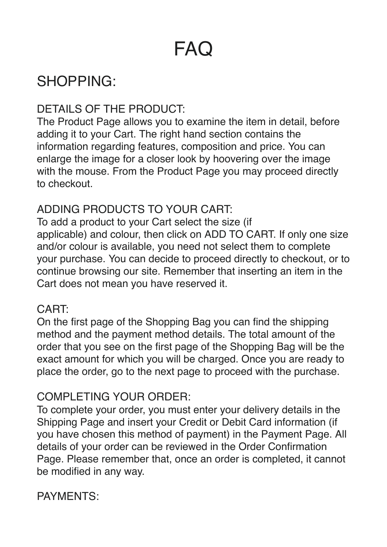# FAQ

# SHOPPING:

# DETAILS OF THE PRODUCT:

The Product Page allows you to examine the item in detail, before adding it to your Cart. The right hand section contains the information regarding features, composition and price. You can enlarge the image for a closer look by hoovering over the image with the mouse. From the Product Page you may proceed directly to checkout.

# ADDING PRODUCTS TO YOUR CART:

To add a product to your Cart select the size (if applicable) and colour, then click on ADD TO CART. If only one size and/or colour is available, you need not select them to complete your purchase. You can decide to proceed directly to checkout, or to continue browsing our site. Remember that inserting an item in the Cart does not mean you have reserved it.

#### CART:

On the first page of the Shopping Bag you can find the shipping method and the payment method details. The total amount of the order that you see on the first page of the Shopping Bag will be the exact amount for which you will be charged. Once you are ready to place the order, go to the next page to proceed with the purchase.

### COMPLETING YOUR ORDER:

To complete your order, you must enter your delivery details in the Shipping Page and insert your Credit or Debit Card information (if you have chosen this method of payment) in the Payment Page. All details of your order can be reviewed in the Order Confirmation Page. Please remember that, once an order is completed, it cannot be modified in any way.

### PAYMENTS: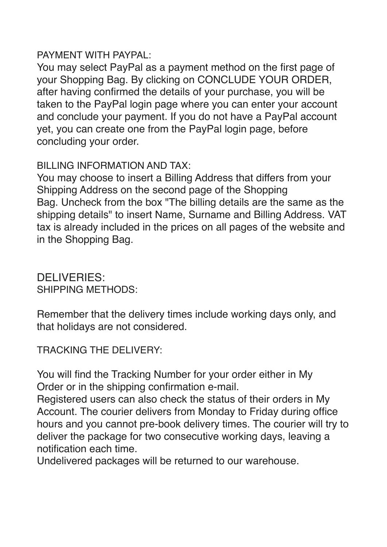#### PAYMENT WITH PAYPAL:

You may select PayPal as a payment method on the first page of your Shopping Bag. By clicking on CONCLUDE YOUR ORDER, after having confirmed the details of your purchase, you will be taken to the PayPal login page where you can enter your account and conclude your payment. If you do not have a PayPal account yet, you can create one from the PayPal login page, before concluding your order.

#### BILLING INFORMATION AND TAX:

You may choose to insert a Billing Address that differs from your Shipping Address on the second page of the Shopping Bag. Uncheck from the box "The billing details are the same as the shipping details" to insert Name, Surname and Billing Address. VAT tax is already included in the prices on all pages of the website and in the Shopping Bag.

DELIVERIES: SHIPPING METHODS:

Remember that the delivery times include working days only, and that holidays are not considered.

TRACKING THE DELIVERY:

You will find the Tracking Number for your order either in My Order or in the shipping confirmation e-mail.

Registered users can also check the status of their orders in My Account. The courier delivers from Monday to Friday during office hours and you cannot pre-book delivery times. The courier will try to deliver the package for two consecutive working days, leaving a notification each time.

Undelivered packages will be returned to our warehouse.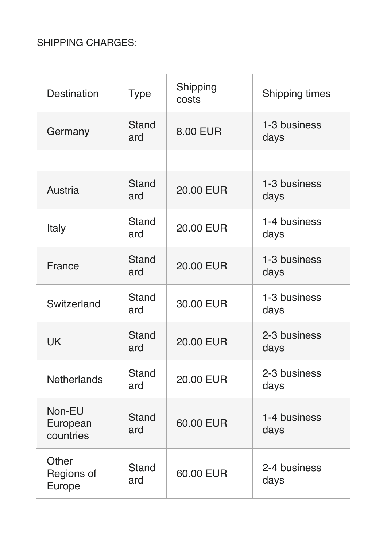### SHIPPING CHARGES:

| <b>Destination</b>                   | <b>Type</b>         | Shipping<br>costs | <b>Shipping times</b> |
|--------------------------------------|---------------------|-------------------|-----------------------|
| Germany                              | <b>Stand</b><br>ard | <b>8.00 EUR</b>   | 1-3 business<br>days  |
|                                      |                     |                   |                       |
| Austria                              | <b>Stand</b><br>ard | <b>20.00 EUR</b>  | 1-3 business<br>days  |
| <b>Italy</b>                         | <b>Stand</b><br>ard | <b>20.00 EUR</b>  | 1-4 business<br>days  |
| France                               | <b>Stand</b><br>ard | <b>20.00 EUR</b>  | 1-3 business<br>days  |
| Switzerland                          | <b>Stand</b><br>ard | 30.00 EUR         | 1-3 business<br>days  |
| <b>UK</b>                            | <b>Stand</b><br>ard | <b>20.00 EUR</b>  | 2-3 business<br>days  |
| <b>Netherlands</b>                   | <b>Stand</b><br>ard | <b>20.00 EUR</b>  | 2-3 business<br>days  |
| Non-EU<br>European<br>countries      | <b>Stand</b><br>ard | 60.00 EUR         | 1-4 business<br>days  |
| Other<br>Regions of<br><b>Europe</b> | <b>Stand</b><br>ard | 60.00 EUR         | 2-4 business<br>days  |